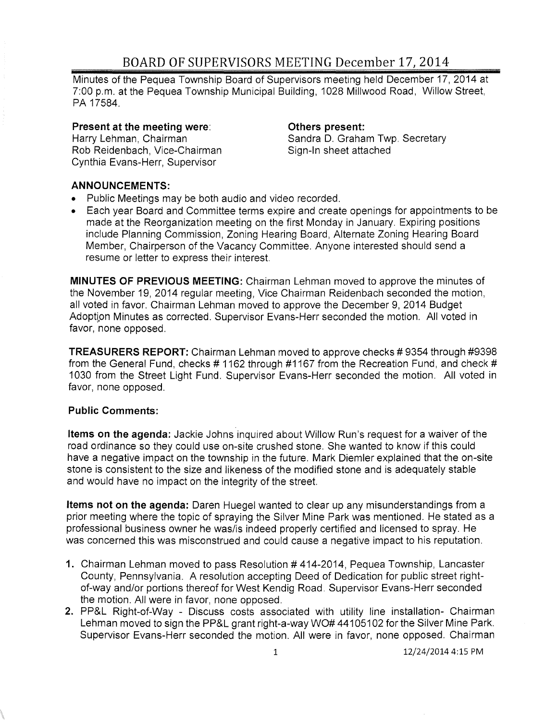## BOARD OF SUPERVISORS MEETING December 17, 2014

Minutes of the Pequea Township Board of Supervisors meeting held December 17,2014 at 7:00 p.m. at the Pequea Township Municipal Building, 1028 Millwood Road, Willow Street, PA 17584.

#### **Present at the meeting** were:

Harry Lehman, Chairman Rob Reidenbach, Vice-Chairman Cynthia Evans-Herr, Supervisor

#### **Others present:**

Sandra D. Graham Twp. Secretary Sign-In sheet attached

#### **ANNOUNCEMENTS:**

- Public Meetings may be both audio and video recorded.
- Each year Board and Committee terms expire and create openings for appointments to be made at the Reorganization meeting on the first Monday in January. Expiring positions include Planning Commission, Zoning Hearing Board, Alternate Zoning Hearing Board Member, Chairperson of the Vacancy Committee. Anyone interested should send a resume or letter to express their interest.

**MINUTES OF PREVIOUS MEETING:** Chairman Lehman moved to approve the minutes of the November 19,2014 regular meeting, Vice Chairman Reidenbach seconded the motion, all voted in favor. Chairman Lehman moved to approve the December 9, 2014 Budget Adoption Minutes as corrected. Supervisor Evans-Herr seconded the motion. All voted in favor, none opposed.

**TREASURERS REPORT:** Chairman Lehman moved to approve checks # 9354 through #9398 from the General Fund, checks # 1162 through #1167 from the Recreation Fund, and check # 1030 from the Street Light Fund. Supervisor Evans-Herr seconded the motion. All voted in favor, none opposed.

### **Public Comments:**

**Items on the agenda:** Jackie Johns inquired about Willow Run's request for a waiver of the road ordinance so they could use on-site crushed stone. She wanted to know if this could have a negative impact on the township in the future. Mark Diemler explained that the on-site stone is consistent to the size and likeness of the modified stone and is adequately stable and would have no impact on the integrity of the street.

**Items not on the agenda:** Daren Huegel wanted to clear up any misunderstandings from a prior meeting where the topic of spraying the Silver Mine Park was mentioned. He stated as a professional business owner he was/is indeed properly certified and licensed to spray. He was concerned this was misconstrued and could cause a negative impact to his reputation.

- **1.** Chairman Lehman moved to pass Resolution # 414-2014, Pequea Township, Lancaster County, Pennsylvania. A resolution accepting Deed of Dedication for public street rightof-way and/or portions thereof for West Kendig Road. Supervisor Evans-Herr seconded the motion. All were in favor, none opposed.
- **2.** PP&L Right-of-Way Discuss costs associated with utility line installation- Chairman Lehman moved to sign the PP&L grant right-a-way WO# 44105102 for the Silver Mine Park. Supervisor Evans-Herr seconded the motion. All were in favor, none opposed. Chairman

1 12/24/2014 4:15 PM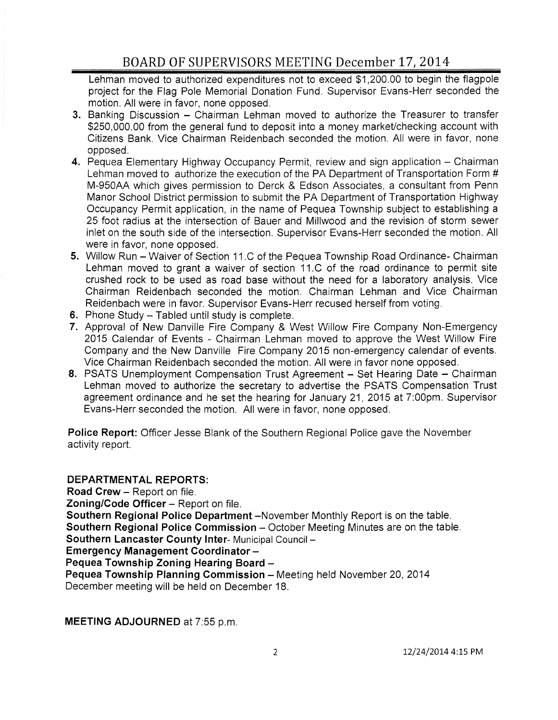# BOARD OF SUPERVISORS MEETING December 17,2014

Lehman moved to authorized expenditures not to exceed \$1,200.00 to begin the flagpole project for the Flag Pole Memorial Donation Fund. Supervisor Evans-Herr seconded the motion. All were in favor, none opposed.

- 3. Banking Discussion Chairman Lehman moved to authorize the Treasurer to transfer \$250,000.00 from the general fund to deposit into a money market/checking account with Citizens Bank. Vice Chairman Reidenbach seconded the motion. All were in favor, none opposed.
- 4. Pequea Elementary Highway Occupancy Permit, review and sign application Chairman Lehman moved to authorize the execution of the PA Department of Transportation Form # M-950AA which gives permission to Derck & Edson Associates, a consultant from Penn Manor School District permission to submit the PA Department of Transportation Highway Occupancy Permit application, in the name of Pequea Township subject to establishing a 25 foot radius at the intersection of Bauer and Millwood and the revision of storm sewer inlet on the south side of the intersection. Supervisor Evans-Herr seconded the motion. All were in favor, none opposed.
- 5. Willow Run Waiver of Section 11.C of the Pequea Township Road Ordinance- Chairman Lehman moved to grant a waiver of section 11.C of the road ordinance to permit site crushed rock to be used as road base without the need for a laboratory analysis. Vice Chairman Reidenbach seconded the motion. Chairman Lehman and Vice Chairman Reidenbach were in favor. Supervisor Evans-Herr recused herself from voting.
- 6. Phone Study  $-$  Tabled until study is complete.
- 7. Approval of New Danville Fire Company & West Willow Fire Company Non-Emergency 2015 Calendar of Events - Chairman Lehman moved to approve the West Willow Fire Company and the New Danville Fire Company 2015 non-emergency calendar of events. Vice Chairman Reidenbach seconded the motion. All were in favor none opposed.
- 8. PSATS Unemployment Compensation Trust Agreement Set Hearing Date Chairman Lehman moved to authorize the secretary to advertise the PSATS Compensation Trust agreement ordinance and he set the hearing for January 21, 2015 at 7:00pm. Supervisor Evans-Herr seconded the motion. All were in favor, none opposed.

Police Report: Officer Jesse Blank of the Southern Regional Police gave the November activity report.

DEPARTMENTAL REPORTS: Road Crew - Report on file. Zoning/Code Officer - Report on file. Southern Regional Police Department -November Monthly Report is on the table. Southern Regional Police Commission - October Meeting Minutes are on the table. Southern Lancaster County Inter- Municipal Council -Emergency Management Coordinator - Pequea Township Zoning Hearing Board -Pequea Township Planning Commission - Meeting held November 20, 2014 December meeting will be held on December 18.

MEETING ADJOURNED at 7:55 p.m.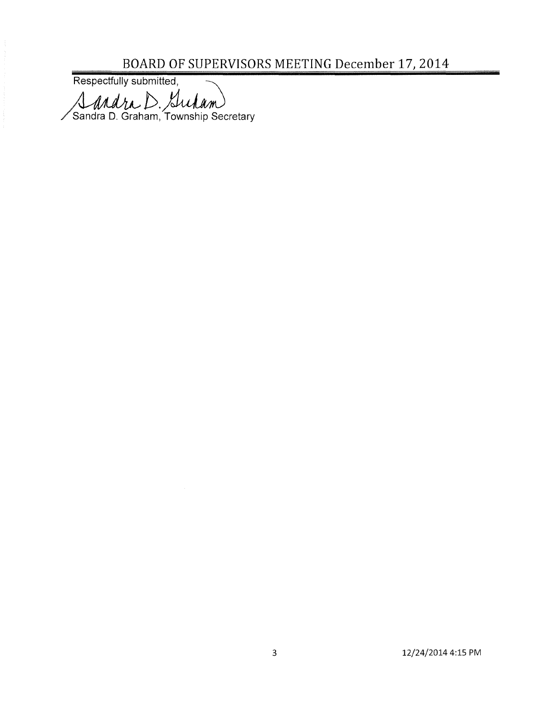BOARD OF SUPERVISORS MEETING December 17, 2014<br>Respectfully submitted,

Andra D. Surlam<br>Sandra D. Graham, Township Secretary